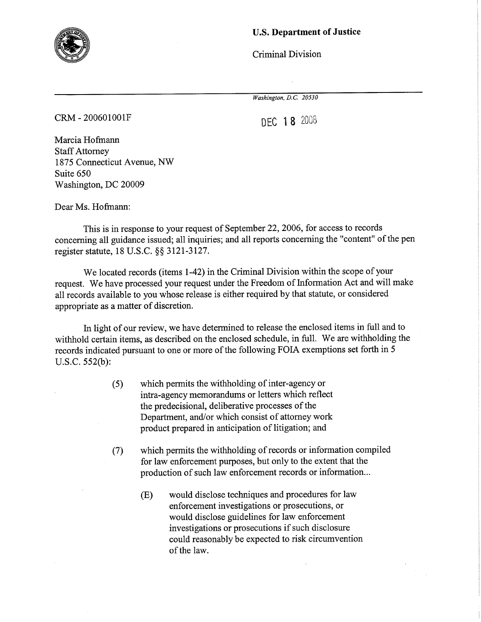

## U.S. Department of Justice

Criminal Division

Washington, D.C. 20530

cRM - 200601001F

DEC 18 2008

Marcia Hofmann Staff Attorney 1875 Connecticut Avenue, NW Suite 650 Washington, DC 20009

Dear Ms. Hofmann:

This is in response to your request of September 22, 2006, for access to records concerning all guidance issued; all inquiries; and all reports concerning the "content" of the pen register statute, 18 U.S.C. \$\$ 3121-3127.

We located records (items 1-42) in the Criminal Division within the scope of your request. We have processed your request under the Freedom of Information Act and will make all records available to you whose release is either required by that statute, or considered appropriate as a matter of discretion.

h light of our review, we have determined to release the enclosed items in full and to withhold certain items, as described on the enclosed schedule, in full. We are withholding the records indicated pursuant to one or more of the following FOIA exemptions set forth in <sup>5</sup> u.s.c. 552(b):

- (5) which permits the withholding of inter-agency or intra-agency memorandums or letters which reflect the predecisional, deliberative processes of the Department, and/or which consist of attorney work product prepared in anticipation of litigation; and
- (7) which permits the withholding of records or information compiled for law enforcement purposes, but only to the extent that the production of such law enforcement records or information...
	- (E) would disclose techniques and procedures for law enforcement investigations or prosecutions, or would disclose guidelines for law enforcement investigations or prosecutions if such disclosure could reasonably be expected to risk circumvention of the law.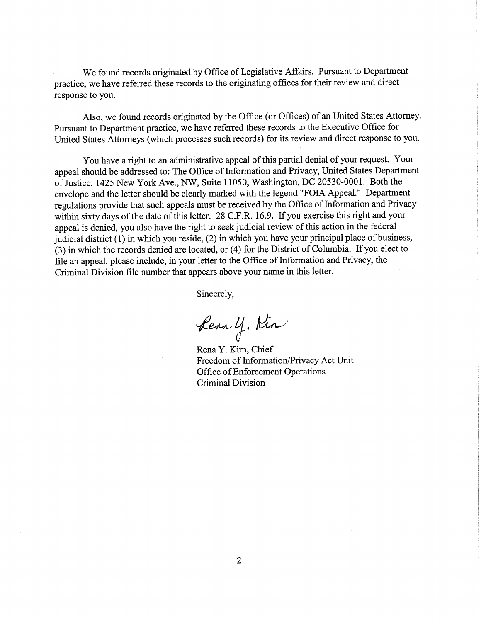We found records originated by Office of Legislative Affairs. Pursuant to Department practice, we have referred these records to the originating offices for their review and direct response to you.

Also, we found records originated by the Office (or Offices) of an United States Attorney. Pursuant to Department practice, we have referred these records to the Executive Office for United States Attomeys (which processes such records) for its review and direct response to you.

You have a right to an administrative appeal of this partial denial of your request. Your appeal should be addressed to: The Office of Information and Privacy, United States Department of Justice, 1425 New York Ave., NW, Suite 11050, Washinglon, DC 20530-0001. Both the envelope and the letter should be clearly marked with the legend "FOIA Appeal." Department regulations provide that such appeals must be received by the Office of Information and Privacy within sixty days of the date of this letter. 28 C.F.R. 16.9. If you exercise this right and your appeal is denied, you also have the right to seek judicial review of this action in the federal judicial district (1) in which you reside, (2) in which you have your principal place of business, (3) in which the records denied are located, or (4) for the District of Columbia. If you elect to file an appeal, please include, in your letter to the Office of Information and Privacy, the Criminal Division file number that appears above your name in this letter.

Sincerely,

Rear y. Kin

Rena Y. Kim, Chiel Freedom of Information/Privacy Act Unit Office of Enforcement Operations Criminal Division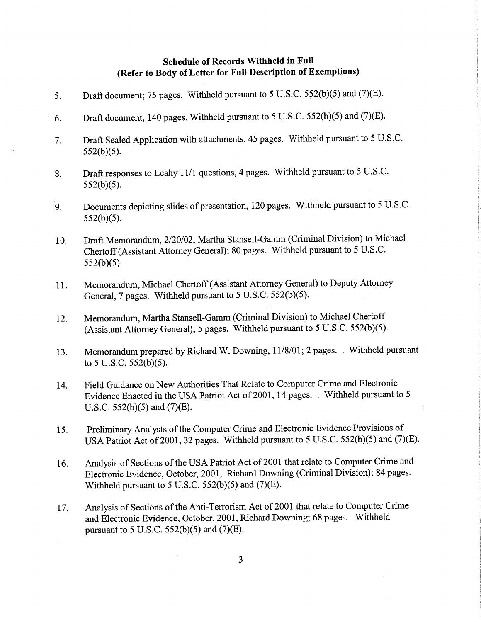# Schedule of Records Withheld in Full (Refer to Body of Letter for Full Description of Exemptions)

- 5. Draft document; 75 pages. Withheld pursuant to 5 U.S.C. 552(b)(5) and (7)(E).
- 6. Draft document, 140 pages. Withheld pursuant to 5 U.S.C.  $552(b)(5)$  and  $(7)(E)$ .
- 7. Draft Sealed Application with attachments, 45 pages. Withheld pursuant to 5 U.S.C.  $552(b)(5)$ .
- 8. Draft responses to Leahy 11/1 questions, 4 pages. Withheld pursuant to 5 U.S.C.  $552(b)(5)$ .
- 9. Documents depicting slides of presentation, 120 pages. Withheld pursuant to 5 U.S.C.  $552(b)(5)$ .
- 10. Draft Memorandum, 2/20/02, Martha Stansell-Gamm (Criminal Division) to Michael Chertoff (Assistant Attorney General); 80 pages. Withheld pursuant to 5 U.S.C.  $552(b)(5)$ .
- <sup>1</sup>l. Memorandum, Michael Chertoff (Assistant Attorney General) to Deputy Attorney General, 7 pages. Withheld pursuant to  $5 \text{ U.S.C. } 552(b)(5)$ .
- 12. Memorandum, Martha Stansell-Gamm (Criminal Division) to Michael Chertoff (Assistant Attorney General); 5 pages. Withheld pursuant to 5 U.S.C.  $552(b)(5)$ .
- 13. Memorandum prepared by Richard W. Downing, 11/8/01; 2 pages. . Withheld pursuant to 5 U.S.C.  $552(b)(5)$ .
- 14. Field Guidance on New Authorities That Relate to Computer Crime and Electronic Evidence Enacted in the USA Patriot Act of 2001, 14 pages. . Withheld pursuant to 5 U.S.C.  $552(b)(5)$  and  $(7)(E)$ .
- 15. Preliminary Analysts of the Computer Crime and Electronic Evidence Provisions of USA Patriot Act of 2001, 32 pages. Withheld pursuant to 5 U.S.C. 552(b)(5) and (7)(E).
- 16. Analysis of Sections of the USA Patriot Act of 2001 that relate to Computer Crime and Electronic Evidence, October, 2001, Richard Downing (Criminal Division); 84 pages. Withheld pursuant to 5 U.S.C.  $552(b)(5)$  and  $(7)(E)$ .
- 17. Analysis of Sections of the Anti-Terrorism Act of 2001 that relate to Computer Crime and Electronic Evidence, October, 2001, Richard Downing; 68 pages. Withheld pursuant to 5 U.S.C.  $552(b)(5)$  and  $(7)(E)$ .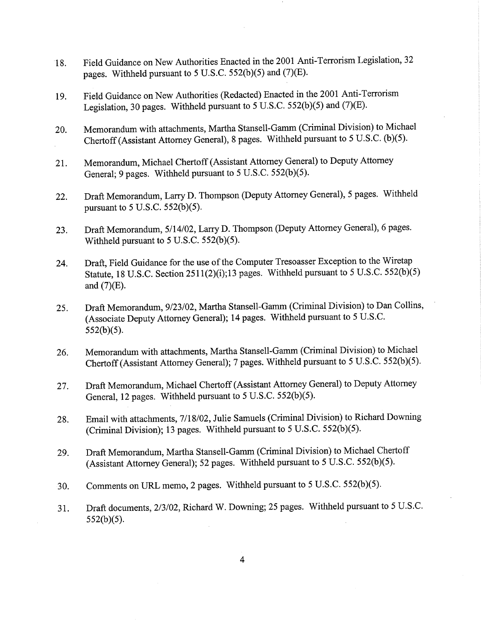- 18. Field Guidance on New Authorities Enacted in the 2001 Anti-Terrorism Legislation,32 pages. Withheld pursuant to  $5$  U.S.C.  $552(b)(5)$  and  $(7)(E)$ .
- 19. Field Guidance on New Authorities (Redacted) Enacted in the 2001 Anti-Terrorism Legislation, 30 pages. Withheld pursuant to 5 U.S.C. 552(b)(5) and (7)(E).
- 20. Memorandum with attachments, Martha Stansell-Gamm (Criminal Division) to Michael Chertoff (Assistant Attorney General), 8 pages. Withheld pursuant to 5 U.S.C. (b)(5).
- 21. Memorandum, Michael Chertoff (Assistant Attomey General) to Deputy Attorney General;  $9$  pages. Withheld pursuant to  $5$  U.S.C.  $552(b)(5)$ .
- 22. Draft Memorandum, Larry D. Thompson (Deputy Attorney General), 5 pages. Withheld pursuant to  $5$  U.S.C.  $552(b)(5)$ .
- 23. Draft Memorandum, 5/14/02, Larry D. Thompson (Deputy Attorney General), 6 pages. Withheld pursuant to  $5$  U.S.C.  $552(b)(5)$ .
- 24. Draft, Field Guidance for the use of the Computer Tresoasser Exception to the Wiretap Statute, 18 U.S.C. Section 2511(2)(i);13 pages. Withheld pursuant to 5 U.S.C. 552(b)(5) and  $(7)(E)$ .
- 25. Draft Memorandum, 9/23/02, Martha Stansell-Gamm (Criminal Division) to Dan Collins, (Associate Deputy Attorney General); 14 pages. Withheld pursuant to 5 U.S.C.  $552(b)(5)$ .
- 26. Memorandum with attachments, Martha Stansell-Gamm (Criminal Division) to Michael Chertoff (Assistant Attorney General); 7 pages. Withheld pursuant to 5 U.S.C. 552(b)(5).
- 27. Draft Memorandum, Michael Chertoff (Assistant Attorney General) to Deputy Attorney General, 12 pages. Withheld pursuant to  $5$  U.S.C.  $552(b)(5)$ .
- 28. Email with attachments, 7/18/02, Julie Samuels (Criminal Division) to Richard Downing (Criminal Division); 13 pages. Withheld pursuant to 5 U.S.C.  $552(b)(5)$ .
- 29. Draft Memorandum, Martha Stansell-Gamm (Criminal Division) to Michael Chertoff (Assistant Attorney General); 52 pages. Withheld pursuant to 5 U.S.C. 552(b)(5).
- 30. Comments on URL memo, 2 pages. Withheld pursuant to 5 U.S.C. 552(b)(5).
- 31. Draft documents, 2/3/02, Richard W. Downing; 25 pages. Withheld pursuant to 5 U.S.C.  $552(b)(5)$ .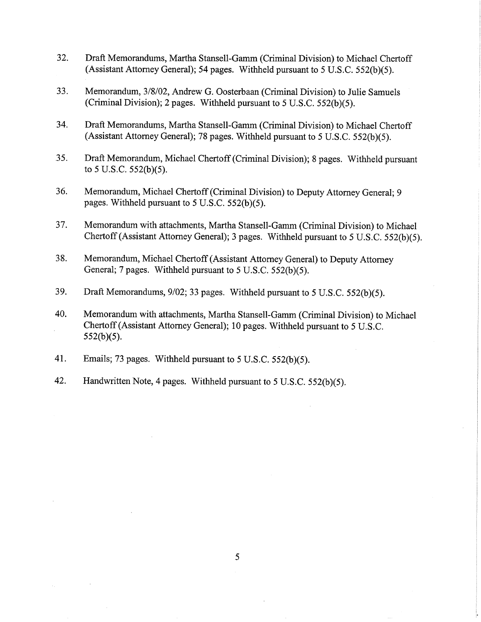- 32. Draft Memorandums, Martha Stansell-Gamm (Criminal Division) to Michael Chertoff (Assistant Attorney General); 54 pages. Withheld pursuant to 5 U.S.C.  $552(b)(5)$ .
- 33. Memorandum,3l8l02, Andrew G. Oosterbaan (Criminal Division) to Julie Samuels (Criminal Division); 2 pages. Withheld pursuant to 5 U.S.C.  $552(b)(5)$ .
- 34. Draft Memorandums, Martha Stansell-Gamm (Criminal Division) to Michael Chertoff (Assistant Attorney General); 78 pages. Withheld pursuant to 5 U.S.C.  $552(b)(5)$ .
- 35. Draft Memorandum, Michael Chertoff (Criminal Division); 8 pages. Withheld pursuant to 5 U.S.C.  $552(b)(5)$ .
- 36. Memorandum, Michael Chertoff (Criminal Division) to Deputy Attorney General; <sup>9</sup> pages. Withheld pursuant to  $5$  U.S.C.  $552(b)(5)$ .
- 37. Memorandum with attachments, Martha Stansell-Gamm (Criminal Division) to Michael Chertoff (Assistant Attorney General); 3 pages. Withheld pursuant to 5 U.S.C.  $552(b)(5)$ .
- 38. Memorandum, Michael Chertoff (Assistant Attorney General) to Deputy Attorney General; 7 pages. Withheld pursuant to  $5$  U.S.C.  $552(b)(5)$ .
- 39. Draft Memorandums,  $9/02$ ; 33 pages. Withheld pursuant to 5 U.S.C. 552(b)(5).
- 40. Memorandum with attachments, Martha Stansell-Gamm (Criminal Division) to Michael Chertoff (Assistant Attorney General); 10 pages. Withheld pursuant to 5 U.S.C.  $552(b)(5)$ .
- 41. Emails; 73 pages. Withheld pursuant to  $5$  U.S.C.  $552(b)(5)$ .
- 42. Handwritten Note, 4 pages. Withheld pursuant to 5 U.S.C.  $552(b)(5)$ .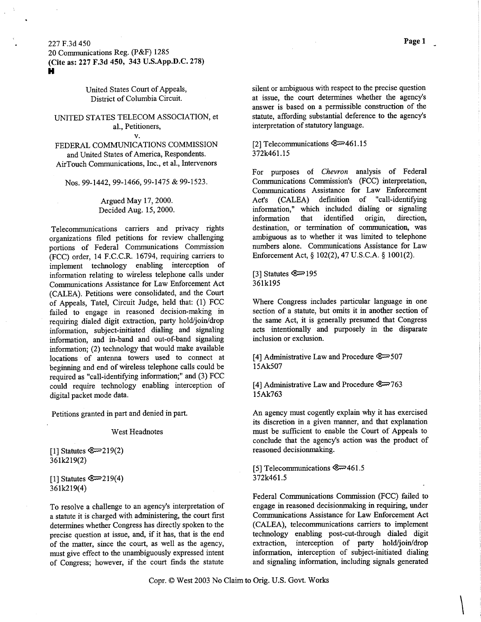#### 227 F.3d 450

20 Communications Reg. (P&F) 1285 (Cite as: 227 F.3d 450, 343 U.S.App.D.C.278) Ì,

> United States Court of Appeals, District of Columbia Circuit.

## UNITED STATES TELECOM ASSOCIATION, et al., Petitioners,

v.

### FEDERAL COMMUNICATIONS COMMISSION and United States of America, Respondents. AirTouch Communications, Inc., et al., Intervenors

Nos. 99-1442, 99-1466, 99-1475 & 99-1523.

Argued MaY 17, 2000. Decided Aug. 15, 2000.

Telecommunications carriers and privacy rights organizations filed petitions for review challenging portions of Federal Communications Commission (FCC) order, 14 F.C.C.R. 16794, requiring carriers to implement technology enabling interception of information relating to wireless telephone calls under Communications Assistance for Law Enforcement Act (CALEA). Petitions were consolidated, and the Court of Appeals, Tatel, Circuit Judge, held that: (l) FCC failed to engage in reasoned decision-making in requiring dialed digit extraction, parfy hold/join/drop information, subject-initiated dialing and signaling information, and in-band and out-of-band sigaaling information; (2) technology that would make available locations of antenna towers used to connect at beginning and end of wireless telephone calls could be required as "call-identifying information;" and (3) FCC could require technology enabling interception of digital packet mode data.

Petitions granted in part and denied in part.

#### West Headnotes

[1] Statutes  $\mathbb{C}$ =219(2) 361k219(2)

[1] Statutes  $\mathbb{Q}$ =219(4) 361k219(4)

To resolve a challenge to an agency's interpretation of a statute it is charged with administering, the court first determines whether Congress has directly spoken to the precise question at issue, and, if it has, that is the end of the matter, since the court, as well as the agency, must give effect to the unambiguously expressed intent of Congress; however, if the court finds the statute

silent or ambiguous with respect to the precise question at issue, the court determines whether the agency's answer is based on a permissible construction of the statute, affording substantial deference to the agency's interpretation of statutory language.

#### [2] Telecommunications @:=461. 1 <sup>5</sup> 372k461.15

For purposes of Chevron analysis of Federal Communications Commission's (FCC) interpretation, Communications Assistance for Law Enforcement Act's (CALEA) definition of "call-identifying information," which included dialihg or sigaaling information that identified origin, direction, destination, or termination of communication, was ambiguous as to whether it was limited to telephone numbers alone. Communications Assistance for Law Enforcement Act, \$ 102(2), 47 U.S.C.A. \$ 1001(2).

 $[3]$  Statutes  $\mathbb{C} \rightarrow 195$ 36lkl95

Where Congress includes particular language in one section of a statute, but omits it in another section of the same Act, it is generally presumed that Congress acts intentionally and purposely in the disparate inclusion or exclusion.

[a] Administrative Law and Procedurs @-597 15Ak507

[4] Administrative Law and Procedure @=763 l5Ak763

An agency must cogently explain why it has exercised its discretion in a given manner, and that explanation must be suffrcient to enable the Court of Appeals to conclude that the agency's action was the product of reasoned decisionmaking.

[5] Telecommunications  $\mathcal{L}$  461.5 372k461.5

Federal Communications Commission (FCC) failed to engage in reasoned decisionmaking in requiring, under Communications Assistance for Law Enforcement Act (CALEA), telecommunications carriers to implement technology enabling post-cut-through dialed digit extraction, interception of party hold/join/drop information, interception of subject-initiated dialing and signaling information, including sigaals generated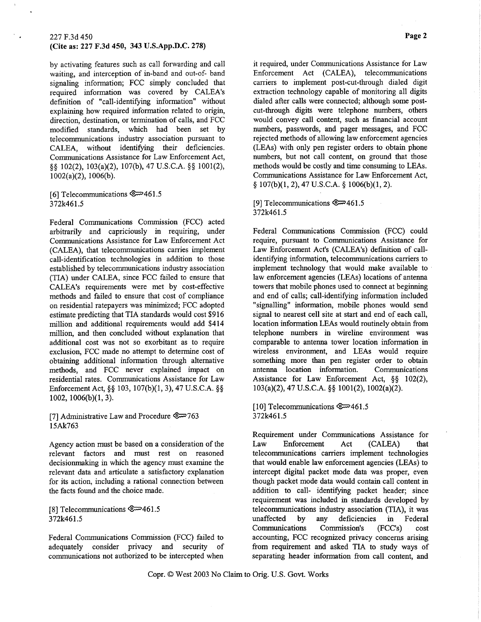#### (Cite as: 227 F.3d 450, 343 U.S.App.D.C. 278)

by activating features such as call forwarding and call waiting, and interception of in-band and out-of- band signaling information; FCC simply concluded that required information was covered by CALEA's definition of "call-identifying information" without explaining how required information related to origin, direction, destination, or termination of calls, and FCC modified standards, which had been set by telecommunications industry association pursuant to CALEA, without identifying their deficiencies. Communications Assistance for Law Enforcement Act, \$\$ 102(2), 103(a)(2), 107(b),47 U.S.C.A. \$\$ 1001(2),  $1002(a)(2)$ ,  $1006(b)$ .

[6] Telecommunications @:=46 1 .5 372k461.5

Federal Communications Commission (FCC) acted arbitrarily and capriciously in requiring, under Communications Assistance for Law Enforcement Act (CALEA), that telecommunications carries implement call-identification technologies in addition to those established by telecommunications indusfy association (TIA) under CALEA, since FCC failed to ensure that CALEA's requirements were met by cost-effective methods and failed to ensure that cost of compliance on residential ratepayers was minimized; FCC adopted estimate predicting that TIA standards would cost \$916 million and additional requirements would add \$414 million, and then concluded without explanation that additional cost was not so exorbitant as to reguire exclusion, FCC made no attempt to determine cost of obtaining additional information through alternative methods, and FCC never explained impact on residential rates. Communications Assistance for Law Enforcement Act, §§ 103, 107(b)(1, 3), 47 U.S.C.A. §§  $1002, 1006(b)(1, 3).$ 

[7] Administrative Law and Procedu¡e @763 15Ak763

Agency action must be based on a consideration of the relevant factors and must rest on reasoned decisionmaking in which the agency must examine the relevant data and arficulate a satisfactory explanation for its action, including a rational connection between the facts found and the choice made.

[8] Telecommunications  $\mathcal{Q} \rightarrow 461.5$ 372k461.5

Federal Communications Commission (FCC) failed to adequately consider privacy and security of communications not authorized to be intercepted when it required, under Communications Assistance for Law Enforcement Act (CALEA), telecommunications carriers to implement post-cut-through dialed digit extraction technology capable of monitoring all digits dialed after calls were cormected; although some postcut-through digits were telephone numbers, others would convey call content, such as financial account numbers, passwords, and pager messages, and FCC rejected methods of allowing law enforcement agencies (LEAs) with only pen register orders to obtain phone numbers, but not call content, on ground that those methods would be costly and time consuming to LEAs. Communications Assistance for Law Enforcement Act,  $$ 107(b)(1, 2), 47 U.S.C.A.$   $$ 1006(b)(1, 2).$ 

[9] Telecommunications æ46 1 .5 372k461.5

Federal Communications Commission (FCC) could require, pursuant to Communications Assistance for Law Enforcement Act's (CALEA's) definition of callidentifying information, telecommunications carriers to implement technology that would make available to law enforcement agencies (LEAs) locations of antenna towers that mobile phones used to connect at beginning and end of calls; call-identifying information included "signalling" information, mobile phones would send signal to nearest cell site at start and end of each call, location information LEAs would routinely obtain from telephone nwnbers in wireline environment was comparable to antenna tower location information in wireless environment, and LEAs would require something more than pen register order to obtain antenna location information. Communications Assistance for Law Enforcement Act,  $\S\S$  102(2),  $103(a)(2)$ , 47 U.S.C.A. §§ 1001(2), 1002(a)(2).

<sup>I</sup>I 0] Telecommunications @461.5 372k461.5

Requirement under Communications Assistance for Law Enforcement Act (CALEA) that telecommunications carriers implement technologies that would enable law enforcement agencies (LEAs) to intercept digital packet mode data was proper, even though packet mode data would contain call content in addition to call- identifying packet header; since requirement was included in standards developed by telecommunications industry association (TlA), it was unaffected by any deficiencies in Federal Communications Commission's (FCC's) cost accounting, FCC recognized privacy concerns arising from requirement and asked TIA to study ways of separating header information from call content, and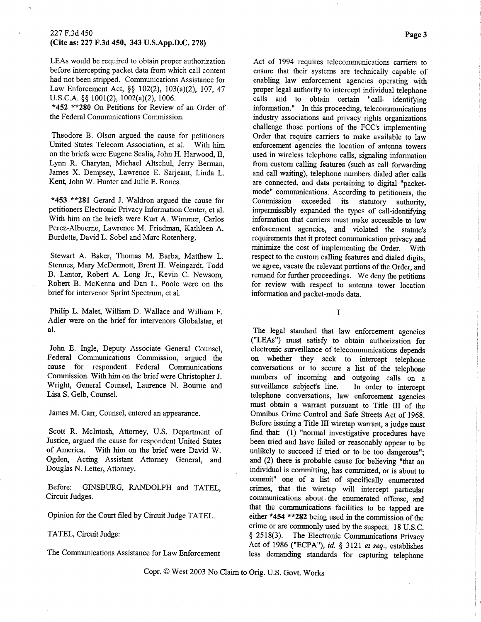LEAs would be required to obtain proper authorization before intercepting packet data from which call content had not been stripped. Communications Assistance for Law Enforcement Act, \$\$ 102(2), 103(a)(2), 107, 47 U.S.C.A. \$\$ 1001(2), 1002(a)(2), 1006.

\*452 \*\* 280 On Petitions for Review of an Order of the Federal Communications Commission.

Theodore B. Olson argued the cause for petitioners United States Telecom Association, et al. With him on the briefs were Eugene Scalia, John H. Harwood, II, Lynn R. Charytan, Michael Altschul, Jerry Berman, James X. Dempsey, Lawrence E. Sarjeant, Linda L. Kent, John W. Hunter and Julie E. Rones.

\*453 \*\*281 Gerard J. Waldron argued the cause for petitioners Electronic Privacy Information Center, et al. With him on the briefs were Kurt A. Wimmer, Carlos Perez-Albuerne, Lawrence M. Friedman, Kathleen A. Burdette, David L. Sobel and Marc Rotenberg.

Stewart A. Baker, Thomas M. Barba, Matthew L. Stennes, Mary McDermott, Brent H. Weingardt, Todd B. Lantor, Robert A. Long Jr., Kevin C. Newsom, Robert B. McKenna and Dan L. Poole were on the brief for intervenor Sprint Spectrum, et al.

Philip L. Malet, William D. Wallace and William F. Adler were on the brief for intervenors Globalstar, et al.

John E. Ingle, Deputy Associate General Counsel, Federal Communications Commission, argued the cause for respondent Federal Communications Commission. With him on the brief were Christopher J. Wright, General Counsel, Laurence N. Bourne and Lisa S. Gelb, Counsel.

James M. Carr, Counsel, entered an appearance.

Scott R. McIntosh, Attorney, U.S. Department of Justice, argued the cause for respondent United States of America. With him on the brief were David W. Ogden, Acting Assistant Attorney General, and Douglas N. Letter, Attorney.

Before: GINSBURG, RANDOLPH and TATEL, Circuit Judges.

Opinion for the Court filed by Circuit Judge TATEL.

TATEL, Circuit Judge:

The Communications Assistance for Law Enforcement

Act of 1994 requires telecommunications carriers to ensure that their systems are technically capable of enabling law enforcement agencies operating with proper legal authority to intercept individual telephone calls and to obtain certain "call- identifying information." In this proceeding, telecommunications industy associations and privacy rights organizations challenge those portions of the FCC's implementing Order that require carriers to make available to law enforcement agencies the location of anterma towers used in wireless telephone calls, signaling information from custom calling features (such as call forwarding and call waiting), telephone numbers dialed after calls are connected, and data pertaining to digital "packetmode" communications. According to petitioners, the<br>Commission exceeded its statutory authority exceeded its statutory authority, impermissibly expanded the types of call-identifying information that carriers must make accessible to law enforcement agencies, and violated the statute's requirements that it protect communication privacy and minimize the cost of implementing the Order. With respect to the custom calling features and dialed digits, we agree, vacate the relevant portions of the Order, and remand for further proceedings. We deny the pefitions for review with respect to antenna tower location information and packet-mode data.

I

The legal standard that law enforcement agencies ("LEAs") must satisfy to obtain authorization for electronic surveillance of telecommunications depends on whether they seek to intercept telephone conversations or to secure a list of the telephone numbers of incoming and outgoing calls on a surveillance subject's line. In order to intercept surveillance subject's line. telephone conversations, law enforcement agencies must obtain a warrant pursuant to Title III of the Omnibus Crime Control and Safe Streets Act of 1968. Before issuing a Title III wiretap warrant, a judge musr find that:  $(1)$  "normal investigative procedures have been tried and have failed or reasonably appear to be unlikely to succeed if tried or to be too dangerous"; and (2) there is probable cause for believing "that an individual is committing, has committed, or is about to commit" one of a list of specifìcally enumerated crimes, that the wiretap will intercept particular communications about. the enumerated offense, and that the communicafions facilities to be tapped are either \*454 \*\*282 being used in the commission of the crime or are commonly used by the suspect. 18 U.S.C. \$ 2518(3). The Electronic Communications privacy Act of 1986 ("ECPA"), id. § 3121 et seq., establishes Iess demanding standards for capturing telephone

Copr. © West 2003 No Claim to Orig. U.S. Govt. Works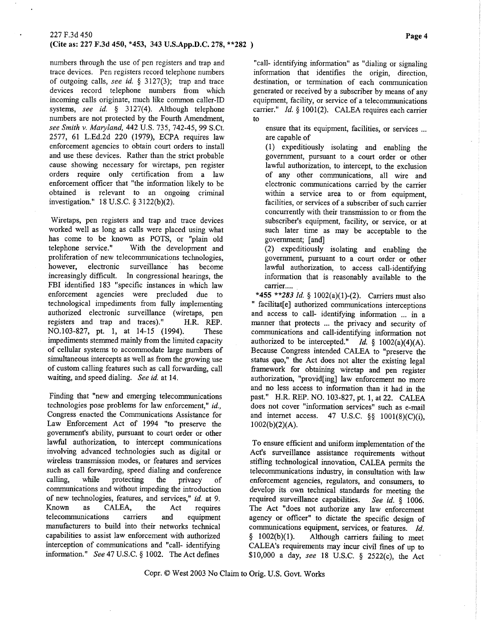# (Cite as: 227 F.3d 450, \*453, 343 U.S.App.D.C.278,\*\*282 )

numbers through the use of pen registers and trap and trace devices. Pen registers record telephone numbers of outgoing calls, see id.  $\S$  3127(3); trap and trace devices record telephone numbers from which incoming calls originate, much like common caller-ID systems, see id.  $\S$  3127(4). Although telephone numbers are not protected by the Fourth Amendment, see Smith v. Maryland, 442 U.S. 735, 742-45, 99 S.Ct. 2517, 6l L.Ed.2d 220 (1979), ECPA requires law enforcement agencies to obtain court orders to install and use these devices. Rather than the strict probable cause showing necessary for wiretaps, pen register orders require only certification from a law enforcement officer that "the information likely to be obtained is relevant to an ongoing criminal investigation." 18 U.S.C.  $\S$  3122(b)(2).

Wiretaps, pen registers and trap and trace devices worked well as long as calls were placed using what has come to be known as POTS, or "plain old telephone service." With the development and With the development and proliferation of new telecommunications technologies, however, electronic surveillance has become increasingly difficult. In congressional hearings, the FBI identified 183 "specific instances in which law enforcement agencies were precluded due to technological impediments from fully implementing authorized electronic surveillance (wiretaps, pen registers and trap and traces)." H.R. REP. NO.103-827, pt. l, at 14-15 (1994). These impediments stemmed mainly from the limited capacity of cellular systems to accommodate large numbers of simultaneous intercepts as well as from the growing use of custom calling features such as call forwarding, call waiting, and speed dialing. See id. at 14.

Finding that "new and emerging telecommunications technologies pose problems for law enforcement," id, Congress enacted the Communications Assistance for Law Enforcement Act of 1994 "to preserve the government's ability, pusuant to court order or other lawful authorization, to intercept communications involving advanced technologies such as digital or wireless transmission modes, or features and services such as call forwarding, speed dialing and conference calling, while protecting the privacy of communications and without impeding the introduction of new technologies, features, and services," id. at 9. Known as CALEA, the Act requires telecommunications carriers and equipment manufacturers to build into their networks technical capabilities to assist law enforcement with authorized interception of communications and "call- identifying information." See 47 U.S.C. \$ 1002. The Act defines

"call- identifying information" as "dialing or signaling information that identifies the origin, direction, destination, or termination of each communication generated or received by a subscriber by means of any equipment, facility, or service of a telecommunications carrier."  $Id. § 1001(2)$ . CALEA requires each carrier to

ensure that its equipment, facilities, or services ... are capable of

(1) expeditiously isolating and enabling the governnent, pursuant to a court order or other lawful authorization, to intercept, to the exclusion of any other communications, all wire and electronic communications carried by the carrier within a service area to or fiom equipment, facilities, or services of a subscriber of such carrier concurrently with their transmission to or from the subscriber's equipment, facility, or service, or at such later time as may be acceptable to the government; [and]

(2) expeditiously isolating and enabling the government, pursuant to a court order or other lawful authorization, to access call-identifying information that is reasonably available to the carrier....

\*455 \*\*283 *Id.* § 1002(a)(1)-(2). Carriers must also " facilitat[e] authorized communications interceptions and access to call- identifying information ... in a manner that protects ... the privacy and security of communications and call-identifying information not authorized to be intercepted." Id.  $\S$  1002(a)(4)(A). Because Congress intended CALEA to "preserve the status quo," the Act does not alter the existing legal framework for obtaining wiretap and pen register authorization, "provid[ing] law enforcement no more and no less access to information than it had in the past." H.R. REP. NO. 103-827, pt. 1, at 22. CALEA does not cover "information services" such as e-mail and internet access. 47 U.S.C.  $\S\S$  1001(8)(C)(i),  $1002(b)(2)(A)$ .

To ensure efficient and uniform implementation of the Act's surveillance assistance requirements without stifling technological innovation, CALEA permits the telecommunications industy, in consultation with law enforcement agencies, regulators, and consumers, to develop its own technical standards for meeting the required surveillance capabilities. See id. § 1006. The Act "does not authorize any law enforcement agency or officer" to dictate the specific design of communications equipment, services, or features. Id.  $\S$  1002(b)(1). Although carriers failing to meet Although carriers failing to meet CALEA's requirements may incur civil fines of up to \$10,000 a day, see 18 U.S.C. § 2522(c), the Act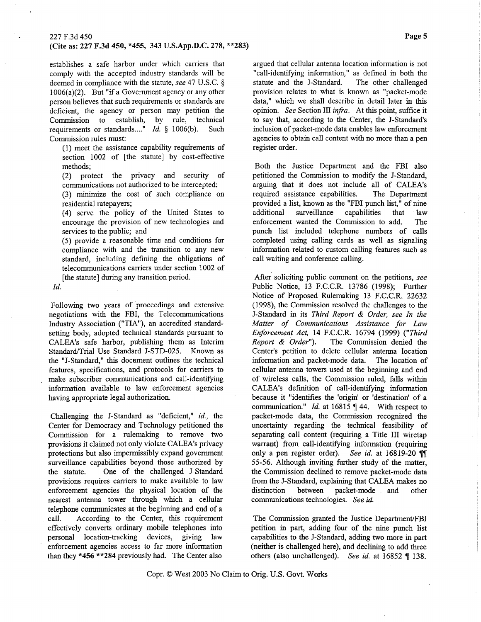#### (Cite as: 227 F.3d 450, \*455, 343 U.S.App.D.C.278, \*\*283)

establishes a safe harbor under which carriers that comply with the accepted industry standards will be deemed in compliance with the statute, see 47 U.S.C. \$ 1006(a)(2). But "if a Government agency or any other person believes that such requirements or standards are deficient, the agency or person may petition the Commission to establish, by rule, technical requirements or standards...."  $Id.$  § 1006(b). Such requirements or standards...." *Id.*  $§ 1006(b)$ . Commission rules must:

(1) meet the assistance capability requirements of section 1002 of [the statute] by cost-effective methods;

(2) protect the privacy and security of communications not authorized to be intercepted;

(3) minimize the cost of such compliance on residential ratepayers;

(4) serve the policy of the United States to encourage the provision of new technologies and services to the public; and

(5) provide a reasonable time and conditions for compliance with and the transition to any new standard, including defining the obligations of telecommunications carriers under section 1002 of [the statute] during any transition period.

Id,

Following two years of proceedings and extensive negotiations with the FBI, the Telecommunications Industry Association ("Th"), an accredited standardsetting body, adopted technical standards pursuant to CALEA's safe harbor, publishing them as Interim Standard/Trial Use Standard J-STD-025. Known as the "J-Standard," this document outlines the technical features, specifications, and protocols for carriers to make subscriber communications and call-identifying information available to law enforcement agencies having appropriate legal authorization.

Challenging the J-Standard as "deficient," id., the Center for Democracy and Technology petitioned the Commission for a rulemaking to remove two provisions it claimed not only violate CALEA's privacy protections but also impermissibly expand government surveillance capabilities beyond those authorized by the statute. One of the challenged J-Standard provisions requires carriers to make available to law enforcement agencies the physical location of the nearest antenna tower through which a cellular telephone communicates at the beginning and end of <sup>a</sup> call. According to the Center, this requirement effectively converts ordinary mobile telephones into personal location-tacking devices, giving law enforcement agencies access to far more information than they \*456 \*\*284 previously had. The Center also

argued that cellular antenna location information is not "call-identifying information," as defined in both the statute and the J-Standard. The other challenged provision relates to what is known as "packet-mode data," which we shall describe in detail later in this opinion. See Section lIl infra. At this point, suffice it to say that, according to the Center, the J-Standard's inclusion of packet-mode data enables law enforcement agencies to obtain call content with no more than a pen register order.

Both the Justice Department and the FBI also petitioned the Commission to modify the J-Standard, arguing that it does not include all of CALEA's<br>required assistance capabilities. The Department required assistance capabilities. provided a list, known as the "FBI punch list," of nine additional surveillance capabilities that law enforcement wanted the Commission to add. The punch list included telephone numbers of calls completed using calling cards as well as signaling information related to custom calling features such as call waiting and conference calling.

After soliciting public comment on the petitions, see Public Notice, 13 F.C.C.R. 13786 (1998); Further Notice of Proposed Rulemaking 13 F.C.C.R. 22632 (1998), the Commission resolved the challenges to the J-Standard in its Third Report & Order, see In the Matter of Communications Assistance for Law Enforcement Act, 14 F.C.C.R. 16794 (1999) ("Third Report & Order"). The Commission denied the Center's petition to delete cellular antenna location information and packet-mode data. The location of cellular antenna towers used at the beginning and end of wireless calls, the Commission ruled, falls within CALEA's definition of call-identifying information because it "identifies the 'origin' or 'destination' of <sup>a</sup> communication." *Id.* at 16815  $\P$  44. With respect to packet-mode data, the Commission recognized the uncertainty regarding the technical feasibility of separating call content (requiring a Title III wiretap warrant) from call-identifying information (requiring only a pen register order). See id. at  $16819-20$  II 55-56. Although inviting further study of the matter, the Commission declined to remove packet-mode data from the J-Standard, explaining that CALEA makes no distinction between packet-mode and other communications technologies. See id.

The Commission granted the Justice Department/FBI petition in part, adding four of the nine punch list capabilities to the J-Standard, adding two more in part (neither is challenged here), and declining to add three others (also unchallenged). See id. at  $16852 \text{ } \text{\textsterling} 138$ .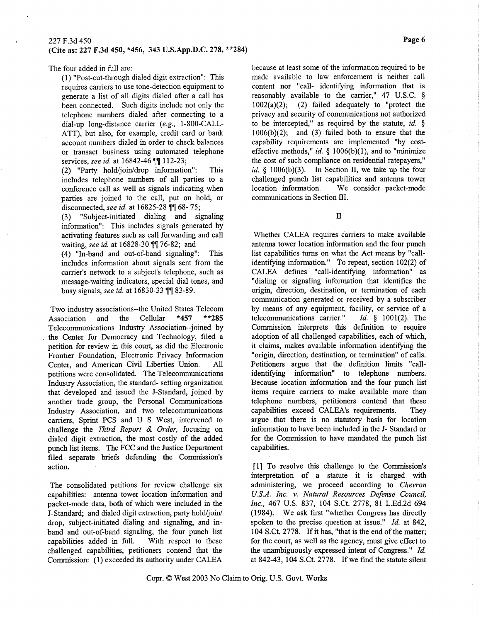The four added in full are:

(1) "Post-cut{hrough dialed digit extraction": This requires carriers to use tone-detection equipment to generate a list of all digits dialed after a call has been connected. Such digits include not only the telephone numbers dialed after connecting to <sup>a</sup> dial-up long-distance carrier (e.g., 1-800-CALL-ATT), but also, for example, credit card or bank account numbers dialed in order to check balances or transact business using automated telephone services, see id. at 16842-46 ff 112-23;

(2) "Parry hold/join/drop information": This includes telephone numbers of all parties to <sup>a</sup> conference call as well as signals indicating when parties are joined to the call, put on hold, or disconnected, see id. at 16825-28 ff 68-75;

(3) "Subject-initiated dialing and signaling information": This includes signals generated by activating features such as call forwarding and call waiting, see id. at 16828-30 for 76-82; and

(4) "In-band and out-of-band signaling": This includes information about signals sent from the carrier's network to a subject's telephone, such as message-waiting indicators, special dial tones, and busy signals, see id. at 16830-33 ll 83-89.

Two industry associations--the United States Telecom Association and the Cellular \*457 \*\*285 Telecommunications Indusfy Association--joined by the Center for Democracy and Technology, filed <sup>a</sup> petition for review in this court, as did the Electronic Frontier Foundation, Electronic Privacy Information Center, and American Civil Liberties Union. All petitions were consolidated. The Telecommunications Industry Association, the standard- setting organization that developed and issued the J-Standard, joined by another trade group, the Personal Communications Industry Association, and fwo telecommunications carriers, Sprint PCS and U S West, intervened to challenge the Third Report & Order, focusing on dialed digit extraction, the most costly of the added punch list items. The FCC and the Justice Department filed separate brieß defending the Commission's action.

The consolidated petitions for review challenge six capabilities: antenna tower location information and packet-mode data, both of which were included in the J-Standard; and dialed digit extraction, party hold/join/ drop, subject-initiated dialing and signaling, and inband and out-of-band signaling, the four punch list capabilities added in full. With respect to these challenged capabilifies, petitioners contend that the Commission: (1) exceeded its authority under CALEA

because at least some of the information required to be made available to law enforcement is neither call content nor "call- identifying information that is reasonably available to the carrier," 47 U.S.C.  $\S$  1002(a)(2); (2) failed adequately to "protect the  $(2)$  failed adequately to "protect the privacy and security of communications not authorized to be intercepted," as required by the statute, id.  $\S$  $1006(b)(2)$ ; and (3) failed both to ensure that the capability requirements are implemented "by costeffective methods," id.  $\S$  1006(b)(1), and to "minimize the cost of such compliance on residential ratepayers," id.  $\S$  1006(b)(3). In Section II, we take up the four challenged punch list capabilities and anterma tower location information. We consider packet-mode communications in Section III.

II

Whether CALEA requires carriers to make available antenna tower location information and the four punch list capabilities tums on what the Act means by "callidentifying information." To repeat, section 102(2) of CALEA defines "call-identifying information" as "dialing or sigaaling information that identifies the origin, direction, destination, or termination of each communication generated or received by a subscriber by means of any equipment, facility, or service of a telecommunications carrier."  $Id. \S$  1001(2). The Commission interprets this definition to require adoption of all challenged capabilities, each of which, it claims, makes available information identifying the "origin, direction, destination, or termination" of calls. Petitioners argue that the definition limits "callidentifying information" to telephone numbers. Because location information and the four punch list items require carriers to make available more than telephone numbers, petitioners contend that these capabilities exceed CALEA's requirements. They argue that there is no statutory basis for location information to have been included in the J- Standard or for the Commission to have mandated the punch list capabilities.

[1] To resolve this challenge to the Commission's interpretation of a statute it is charged with administering, we proceed according to Chevron U.S.A. Inc. v. Natural Resources Defense Council, Inc., 467 U.S. 837, 104 S.Ct. 2778, 8l L.Ed.2d, 694 (1984). We ask first "whether Congress has directly spoken to the precise question at issue." Id. at 842, 104 S.Ct.2778. If it has, "that is the end of the matter; for the court, as well as the agency, must give effect to the unambiguously expressed intent of Congress." Id. at 842-43, 104 S.Ct. 2778. If we find the statute silent